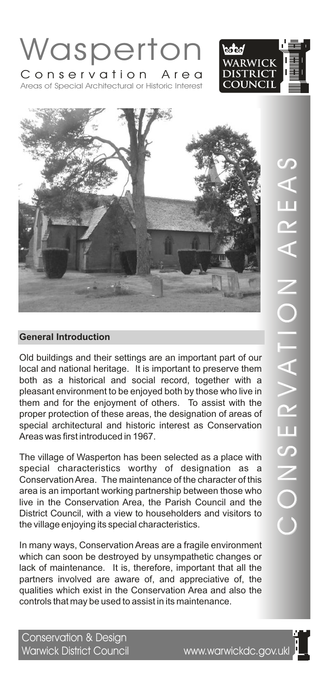

Areas of Special Architectural or Historic Interest





Old buildings and their settings are an important part of our local and national heritage. It is important to preserve them both as a historical and social record, together with a pleasant environment to be enjoyed both by those who live in them and for the enjoyment of others. To assist with the proper protection of these areas, the designation of areas of special architectural and historic interest as Conservation Areas was first introduced in 1967.

The village of Wasperton has been selected as a place with special characteristics worthy of designation as a Conservation Area. The maintenance of the character of this area is an important working partnership between those who live in the Conservation Area, the Parish Council and the District Council, with a view to householders and visitors to the village enjoying its special characteristics.

In many ways, Conservation Areas are a fragile environment which can soon be destroyed by unsympathetic changes or lack of maintenance. It is, therefore, important that all the partners involved are aware of, and appreciative of, the qualities which exist in the Conservation Area and also the controls that may be used to assist in its maintenance.

Conservation & Design Warwick District Council www.warwickdc.gov.ukl

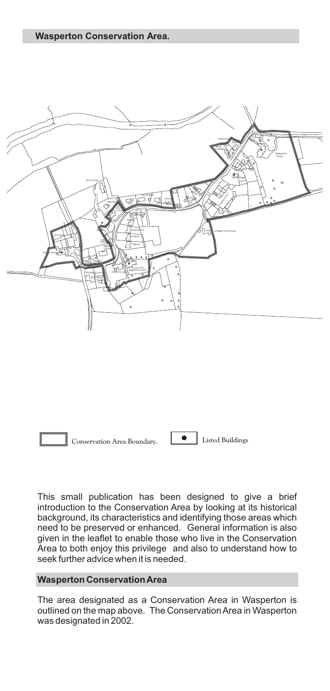**Wasperton Conservation Area.**





This small publication has been designed to give a brief introduction to the Conservation Area by looking at its historical background, its characteristics and identifying those areas which need to be preserved or enhanced. General information is also given in the leaflet to enable those who live in the Conservation Area to both enjoy this privilege and also to understand how to seek further advice when it is needed.

### **Wasperton Conservation Area**

The area designated as a Conservation Area in Wasperton is outlined on the map above. The Conservation Area in Wasperton was designated in 2002.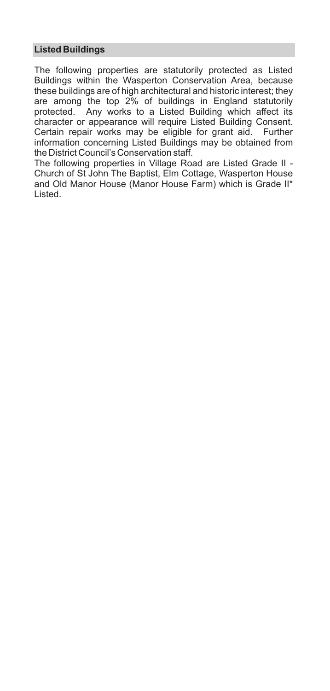# **Listed Buildings**

The following properties are statutorily protected as Listed Buildings within the Wasperton Conservation Area, because these buildings are of high architectural and historic interest; they are among the top 2% of buildings in England statutorily protected. Any works to a Listed Building which affect its character or appearance will require Listed Building Consent. Certain repair works may be eligible for grant aid. Further information concerning Listed Buildings may be obtained from the District Council's Conservation staff.

The following properties in Village Road are Listed Grade II - Church of St John The Baptist, Elm Cottage, Wasperton House and Old Manor House (Manor House Farm) which is Grade II\* Listed.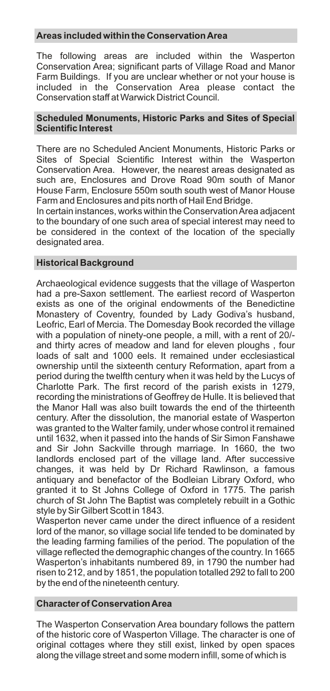# **Areas included within the Conservation Area**

The following areas are included within the Wasperton Conservation Area; significant parts of Village Road and Manor Farm Buildings. If you are unclear whether or not your house is included in the Conservation Area please contact the Conservation staff at Warwick District Council.

### **Scheduled Monuments, Historic Parks and Sites of Special Scientific Interest**

There are no Scheduled Ancient Monuments, Historic Parks or Sites of Special Scientific Interest within the Wasperton Conservation Area. However, the nearest areas designated as such are, Enclosures and Drove Road 90m south of Manor House Farm, Enclosure 550m south south west of Manor House Farm and Enclosures and pits north of Hail End Bridge.

In certain instances, works within the Conservation Area adjacent to the boundary of one such area of special interest may need to be considered in the context of the location of the specially designated area.

# **Historical Background**

Archaeological evidence suggests that the village of Wasperton had a pre-Saxon settlement. The earliest record of Wasperton exists as one of the original endowments of the Benedictine Monastery of Coventry, founded by Lady Godiva's husband, Leofric, Earl of Mercia. The Domesday Book recorded the village with a population of ninety-one people, a mill, with a rent of 20/ and thirty acres of meadow and land for eleven ploughs , four loads of salt and 1000 eels. It remained under ecclesiastical ownership until the sixteenth century Reformation, apart from a period during the twelfth century when it was held by the Lucys of Charlotte Park. The first record of the parish exists in 1279, recording the ministrations of Geoffrey de Hulle. It is believed that the Manor Hall was also built towards the end of the thirteenth century. After the dissolution, the manorial estate of Wasperton was granted to the Walter family, under whose control it remained until 1632, when it passed into the hands of Sir Simon Fanshawe and Sir John Sackville through marriage. In 1660, the two landlords enclosed part of the village land. After successive changes, it was held by Dr Richard Rawlinson, a famous antiquary and benefactor of the Bodleian Library Oxford, who granted it to St Johns College of Oxford in 1775. The parish church of St John The Baptist was completely rebuilt in a Gothic style by Sir Gilbert Scott in 1843.

Wasperton never came under the direct influence of a resident lord of the manor, so village social life tended to be dominated by the leading farming families of the period. The population of the village reflected the demographic changes of the country. In 1665 Wasperton's inhabitants numbered 89, in 1790 the number had risen to 212, and by 1851, the population totalled 292 to fall to 200 by the end of the nineteenth century.

#### **Character of Conservation Area**

The Wasperton Conservation Area boundary follows the pattern of the historic core of Wasperton Village. The character is one of original cottages where they still exist, linked by open spaces along the village street and some modern infill, some of which is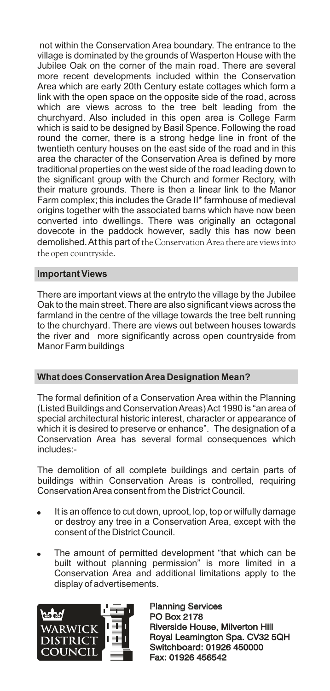not within the Conservation Area boundary. The entrance to the village is dominated by the grounds of Wasperton House with the Jubilee Oak on the corner of the main road. There are several more recent developments included within the Conservation Area which are early 20th Century estate cottages which form a link with the open space on the opposite side of the road, across which are views across to the tree belt leading from the churchyard. Also included in this open area is College Farm which is said to be designed by Basil Spence. Following the road round the corner, there is a strong hedge line in front of the twentieth century houses on the east side of the road and in this area the character of the Conservation Area is defined by more traditional properties on the west side of the road leading down to the significant group with the Church and former Rectory, with their mature grounds. There is then a linear link to the Manor Farm complex; this includes the Grade II\* farmhouse of medieval origins together with the associated barns which have now been converted into dwellings. There was originally an octagonal dovecote in the paddock however, sadly this has now been demolished. At this part of the Conservation Area there are views into the open countryside.

# **Important Views**

There are important views at the entryto the village by the Jubilee Oak to the main street. There are also significant views across the farmland in the centre of the village towards the tree belt running to the churchyard. There are views out between houses towards the river and more significantly across open countryside from Manor Farm buildings

# **What does Conservation Area Designation Mean?**

The formal definition of a Conservation Area within the Planning (Listed Buildings and Conservation Areas) Act 1990 is "an area of special architectural historic interest, character or appearance of which it is desired to preserve or enhance". The designation of a Conservation Area has several formal consequences which includes:-

The demolition of all complete buildings and certain parts of buildings within Conservation Areas is controlled, requiring Conservation Area consent from the District Council.

- It is an offence to cut down, uproot, lop, top or wilfully damage or destroy any tree in a Conservation Area, except with the consent of the District Council.
- . The amount of permitted development "that which can be built without planning permission" is more limited in a Conservation Area and additional limitations apply to the display of advertisements.



Planning Services PO Box 2178 Planning Services<br>PO Box 2178<br>Riverside House, Milverton Hill Royal Leamington Spa. CV32 5QH Switchboard: 01926 450000 Fax: 01926 456542 Royal Leamington Spa. CV32<br>Switchboard: 01926 450000<br>Fax: 01926 456542